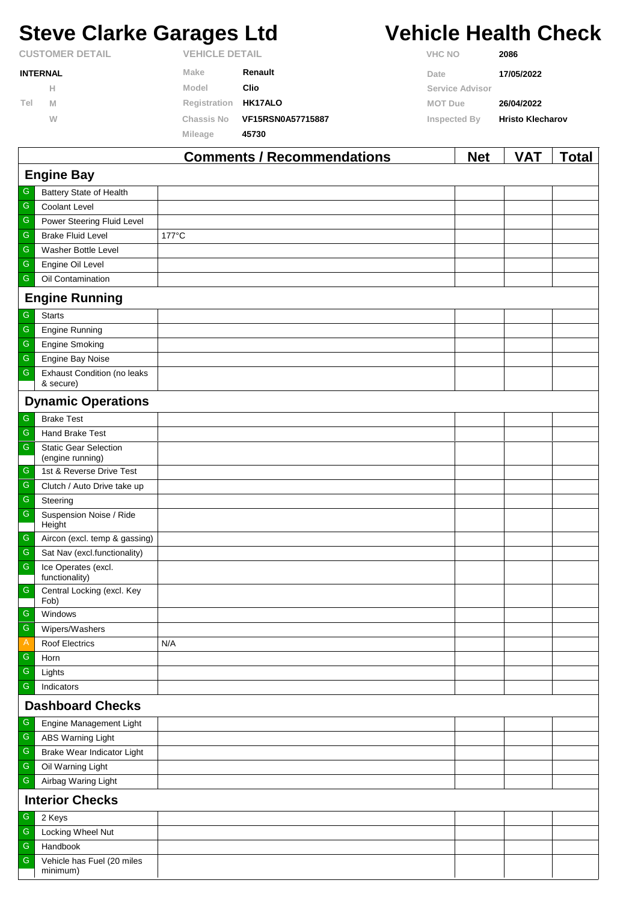# **Steve Clarke Garages Ltd Vehicle Health Check**

 $\Gamma$ 

| <b>CUSTOMER DETAIL</b> |   | <b>VEHICLE DETAIL</b> |                   | <b>VHC NO</b>          | 2086                    |
|------------------------|---|-----------------------|-------------------|------------------------|-------------------------|
| <b>INTERNAL</b>        |   | Make                  | Renault           | Date                   | 17/05/2022              |
|                        | н | Model                 | Clio              | <b>Service Advisor</b> |                         |
| Tel                    | M | Registration HK17ALO  |                   | <b>MOT Due</b>         | 26/04/2022              |
|                        | W | Chassis No            | VF15RSN0A57715887 | Inspected By           | <b>Hristo Klecharov</b> |
|                        |   | Mileage               | 45730             |                        |                         |
|                        |   |                       |                   |                        |                         |

|               |                                                  | <b>Comments / Recommendations</b> | <b>Net</b> | <b>VAT</b> | <b>Total</b> |  |  |
|---------------|--------------------------------------------------|-----------------------------------|------------|------------|--------------|--|--|
|               | <b>Engine Bay</b>                                |                                   |            |            |              |  |  |
| G             | Battery State of Health                          |                                   |            |            |              |  |  |
| ${\mathsf G}$ | <b>Coolant Level</b>                             |                                   |            |            |              |  |  |
| ${\mathsf G}$ | Power Steering Fluid Level                       |                                   |            |            |              |  |  |
| ${\mathsf G}$ | <b>Brake Fluid Level</b>                         | 177°C                             |            |            |              |  |  |
| G             | <b>Washer Bottle Level</b>                       |                                   |            |            |              |  |  |
| G             | Engine Oil Level                                 |                                   |            |            |              |  |  |
| ${\mathsf G}$ | Oil Contamination                                |                                   |            |            |              |  |  |
|               | <b>Engine Running</b>                            |                                   |            |            |              |  |  |
| ${\mathsf G}$ | <b>Starts</b>                                    |                                   |            |            |              |  |  |
| ${\mathsf G}$ | <b>Engine Running</b>                            |                                   |            |            |              |  |  |
| ${\mathsf G}$ | <b>Engine Smoking</b>                            |                                   |            |            |              |  |  |
| $\mathsf G$   | <b>Engine Bay Noise</b>                          |                                   |            |            |              |  |  |
| ${\mathsf G}$ | <b>Exhaust Condition (no leaks</b><br>& secure)  |                                   |            |            |              |  |  |
|               | <b>Dynamic Operations</b>                        |                                   |            |            |              |  |  |
| G             | <b>Brake Test</b>                                |                                   |            |            |              |  |  |
| ${\mathsf G}$ | Hand Brake Test                                  |                                   |            |            |              |  |  |
| ${\mathsf G}$ | <b>Static Gear Selection</b><br>(engine running) |                                   |            |            |              |  |  |
| G             | 1st & Reverse Drive Test                         |                                   |            |            |              |  |  |
| ${\mathsf G}$ | Clutch / Auto Drive take up                      |                                   |            |            |              |  |  |
| G             | Steering                                         |                                   |            |            |              |  |  |
| ${\mathsf G}$ | Suspension Noise / Ride<br>Height                |                                   |            |            |              |  |  |
| G             | Aircon (excl. temp & gassing)                    |                                   |            |            |              |  |  |
| $\mathsf G$   | Sat Nav (excl.functionality)                     |                                   |            |            |              |  |  |
| ${\mathsf G}$ | Ice Operates (excl.<br>functionality)            |                                   |            |            |              |  |  |
| $\mathsf G$   | Central Locking (excl. Key<br>Fob)               |                                   |            |            |              |  |  |
| ${\mathbb G}$ | Windows                                          |                                   |            |            |              |  |  |
| G             | Wipers/Washers                                   |                                   |            |            |              |  |  |
| A             | <b>Roof Electrics</b>                            | N/A                               |            |            |              |  |  |
| G             | Horn                                             |                                   |            |            |              |  |  |
| ${\mathsf G}$ | Lights                                           |                                   |            |            |              |  |  |
| G             | Indicators                                       |                                   |            |            |              |  |  |
|               | <b>Dashboard Checks</b>                          |                                   |            |            |              |  |  |
| ${\mathsf G}$ | Engine Management Light                          |                                   |            |            |              |  |  |
| G             | ABS Warning Light                                |                                   |            |            |              |  |  |
| G             | Brake Wear Indicator Light                       |                                   |            |            |              |  |  |
| G             | Oil Warning Light                                |                                   |            |            |              |  |  |
| ${\mathsf G}$ | Airbag Waring Light                              |                                   |            |            |              |  |  |
|               | <b>Interior Checks</b>                           |                                   |            |            |              |  |  |
| ${\mathsf G}$ | 2 Keys                                           |                                   |            |            |              |  |  |
| ${\mathsf G}$ | Locking Wheel Nut                                |                                   |            |            |              |  |  |
| G             | Handbook                                         |                                   |            |            |              |  |  |
| ${\mathsf G}$ | Vehicle has Fuel (20 miles<br>minimum)           |                                   |            |            |              |  |  |